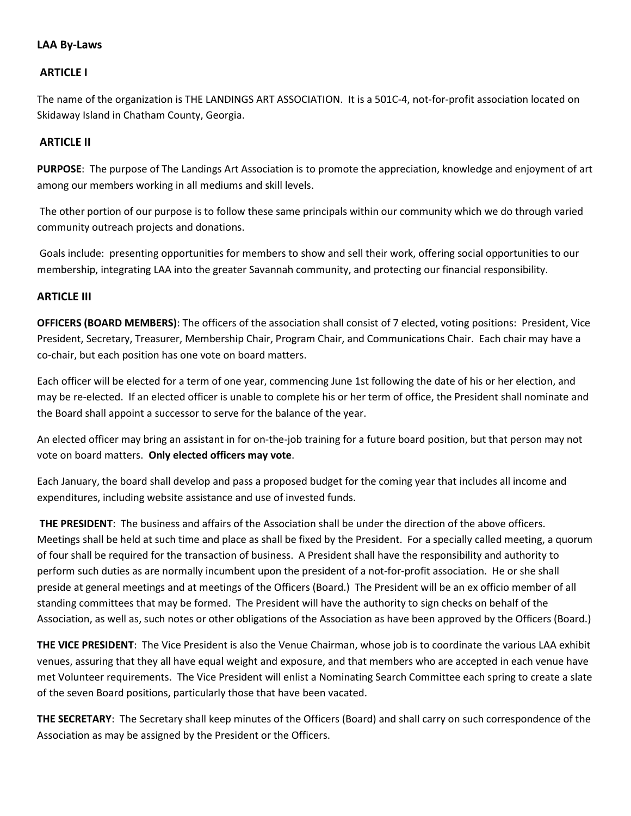# LAA By-Laws

### ARTICLE I

The name of the organization is THE LANDINGS ART ASSOCIATION. It is a 501C-4, not-for-profit association located on Skidaway Island in Chatham County, Georgia.

### ARTICLE II

PURPOSE: The purpose of The Landings Art Association is to promote the appreciation, knowledge and enjoyment of art among our members working in all mediums and skill levels.

 The other portion of our purpose is to follow these same principals within our community which we do through varied community outreach projects and donations.

 Goals include: presenting opportunities for members to show and sell their work, offering social opportunities to our membership, integrating LAA into the greater Savannah community, and protecting our financial responsibility.

#### ARTICLE III

OFFICERS (BOARD MEMBERS): The officers of the association shall consist of 7 elected, voting positions: President, Vice President, Secretary, Treasurer, Membership Chair, Program Chair, and Communications Chair. Each chair may have a co-chair, but each position has one vote on board matters.

Each officer will be elected for a term of one year, commencing June 1st following the date of his or her election, and may be re-elected. If an elected officer is unable to complete his or her term of office, the President shall nominate and the Board shall appoint a successor to serve for the balance of the year.

An elected officer may bring an assistant in for on-the-job training for a future board position, but that person may not vote on board matters. Only elected officers may vote.

Each January, the board shall develop and pass a proposed budget for the coming year that includes all income and expenditures, including website assistance and use of invested funds.

THE PRESIDENT: The business and affairs of the Association shall be under the direction of the above officers. Meetings shall be held at such time and place as shall be fixed by the President. For a specially called meeting, a quorum of four shall be required for the transaction of business. A President shall have the responsibility and authority to perform such duties as are normally incumbent upon the president of a not-for-profit association. He or she shall preside at general meetings and at meetings of the Officers (Board.) The President will be an ex officio member of all standing committees that may be formed. The President will have the authority to sign checks on behalf of the Association, as well as, such notes or other obligations of the Association as have been approved by the Officers (Board.)

THE VICE PRESIDENT: The Vice President is also the Venue Chairman, whose job is to coordinate the various LAA exhibit venues, assuring that they all have equal weight and exposure, and that members who are accepted in each venue have met Volunteer requirements. The Vice President will enlist a Nominating Search Committee each spring to create a slate of the seven Board positions, particularly those that have been vacated.

THE SECRETARY: The Secretary shall keep minutes of the Officers (Board) and shall carry on such correspondence of the Association as may be assigned by the President or the Officers.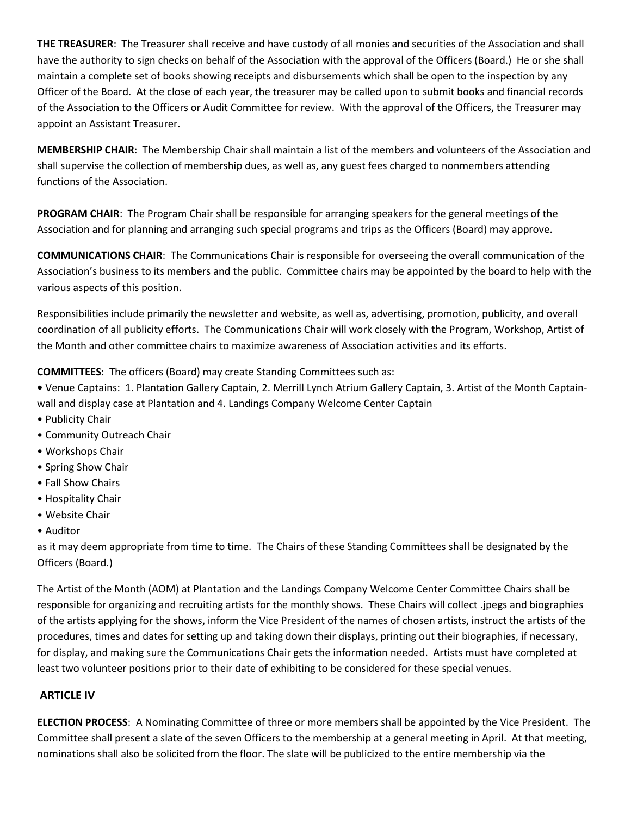THE TREASURER: The Treasurer shall receive and have custody of all monies and securities of the Association and shall have the authority to sign checks on behalf of the Association with the approval of the Officers (Board.) He or she shall maintain a complete set of books showing receipts and disbursements which shall be open to the inspection by any Officer of the Board. At the close of each year, the treasurer may be called upon to submit books and financial records of the Association to the Officers or Audit Committee for review. With the approval of the Officers, the Treasurer may appoint an Assistant Treasurer.

MEMBERSHIP CHAIR: The Membership Chair shall maintain a list of the members and volunteers of the Association and shall supervise the collection of membership dues, as well as, any guest fees charged to nonmembers attending functions of the Association.

PROGRAM CHAIR: The Program Chair shall be responsible for arranging speakers for the general meetings of the Association and for planning and arranging such special programs and trips as the Officers (Board) may approve.

COMMUNICATIONS CHAIR: The Communications Chair is responsible for overseeing the overall communication of the Association's business to its members and the public. Committee chairs may be appointed by the board to help with the various aspects of this position.

Responsibilities include primarily the newsletter and website, as well as, advertising, promotion, publicity, and overall coordination of all publicity efforts. The Communications Chair will work closely with the Program, Workshop, Artist of the Month and other committee chairs to maximize awareness of Association activities and its efforts.

COMMITTEES: The officers (Board) may create Standing Committees such as:

• Venue Captains: 1. Plantation Gallery Captain, 2. Merrill Lynch Atrium Gallery Captain, 3. Artist of the Month Captainwall and display case at Plantation and 4. Landings Company Welcome Center Captain

- Publicity Chair
- Community Outreach Chair
- Workshops Chair
- Spring Show Chair
- Fall Show Chairs
- Hospitality Chair
- Website Chair
- Auditor

as it may deem appropriate from time to time. The Chairs of these Standing Committees shall be designated by the Officers (Board.)

The Artist of the Month (AOM) at Plantation and the Landings Company Welcome Center Committee Chairs shall be responsible for organizing and recruiting artists for the monthly shows. These Chairs will collect .jpegs and biographies of the artists applying for the shows, inform the Vice President of the names of chosen artists, instruct the artists of the procedures, times and dates for setting up and taking down their displays, printing out their biographies, if necessary, for display, and making sure the Communications Chair gets the information needed. Artists must have completed at least two volunteer positions prior to their date of exhibiting to be considered for these special venues.

## ARTICLE IV

ELECTION PROCESS: A Nominating Committee of three or more members shall be appointed by the Vice President. The Committee shall present a slate of the seven Officers to the membership at a general meeting in April. At that meeting, nominations shall also be solicited from the floor. The slate will be publicized to the entire membership via the